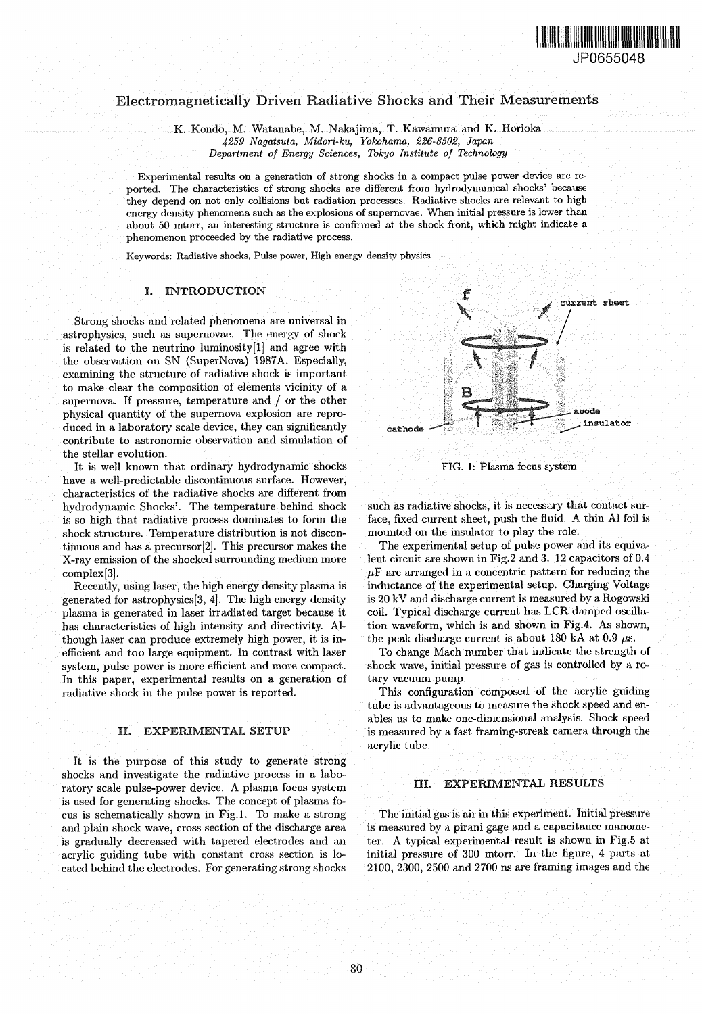

# Electromagnetically Driven Radiative Shocks and Their Measurements

K. Kondo, M. Watanabe, M. Nakajima, T. Kawamura and K. Horioka *4259 Nagatsuta, Midori-ku, Yokohama, 226-8502, Japan Department of Energy Sciences, Tokyo Institute of Technology*

Experimental results on a generation of strong shocks in a compact pulse power device are reported. The characteristics of strong shocks are different from hydrodynamical shocks' because they depend on not only collisions but radiation processes. Radiative shocks are relevant to high energy density phenomena such as the explosions of supernovae. When initial pressure is lower than about 50 mtorr, an interesting structure is confirmed at the shock front, which might indicate a phenomenon proceeded by the radiative process.

Keywords: Radiative shocks, Pulse power, High energy density physics

#### I. INTRODUCTION

Strong shocks and related phenomena are universal in astrophysics, such as supernovae. The energy of shock is related to the neutrino luminosity[l] and agree with the observation on SN (SuperNova) 1987A. Especially, examining the structure of radiative shock is important to make clear the composition of elements vicinity of a supernova. If pressure, temperature and / or the other physical quantity of the supernova explosion are reproduced in a laboratory scale device, they can significantly contribute to astronomic observation and simulation of the stellar evolution.

It is well known that ordinary hydrodynamic shocks have a well-predictable discontinuous surface. However, characteristics of the radiative shocks are different from hydrodynamic Shocks'. The temperature behind shock is so high that radiative process dominates to form the shock structure. Temperature distribution is not discontinuous and has a precursor [2]. This precursor makes the X-ray emission of the shocked surrounding medium more complex [3].

Recently, using laser, the high energy density plasma is generated for astrophysics[3, 4]. The high energy density plasma is generated in laser irradiated target because it has characteristics of high intensity and directivity. Although laser can produce extremely high power, it is inefficient and too large equipment. In contrast with laser system, pulse power is more efficient and more compact. In this paper, experimental results on a generation of radiative shock in the pulse power is reported.

# II. EXPERIMENTAL SETUP

It is the purpose of this study to generate strong shocks and investigate the radiative process in a laboratory scale pulse-power device. A plasma focus system is used for generating shocks. The concept of plasma focus is schematically shown in Fig.1. To make a strong and plain shock wave, cross section of the discharge area is gradually decreased with tapered electrodes and an acrylic guiding tube with constant cross section is located behind the electrodes. For generating strong shocks



FIG. 1: Plasma focus system

such as radiative shocks, it is necessary that contact surface, fixed current sheet, push the fluid. A thin Al foil is mounted on the insulator to play the role.

The experimental setup of pulse power and its equivalent circuit are shown in Fig.2 and 3. 12 capacitors of 0.4  $\mu$ F are arranged in a concentric pattern for reducing the inductance of the experimental setup. Charging Voltage is 20 kV and discharge current is measured by a Rogowski coil. Typical discharge current has LCR damped oscillation waveform, which is and shown in Fig.4. As shown, the peak discharge current is about 180 kA at  $0.9 \mu s$ .

To change Mach number that indicate the strength of shock wave, initial pressure of gas is controlled by a rotary vacuum pump.

This configuration composed of the acrylic guiding tube is advantageous to measure the shock speed and enables us to make one-dimensional analysis. Shock speed is measured by a fast framing-streak camera through the acrylic tube.

#### III. EXPERIMENTAL RESULTS

The initial gas is air in this experiment. Initial pressure is measured by a pirani gage and a capacitance manometer. A typical experimental result is shown in Fig.5 at initial pressure of 300 mtorr. In the figure, 4 parts at 2100, 2300, 2500 and 2700 ns are framing images and the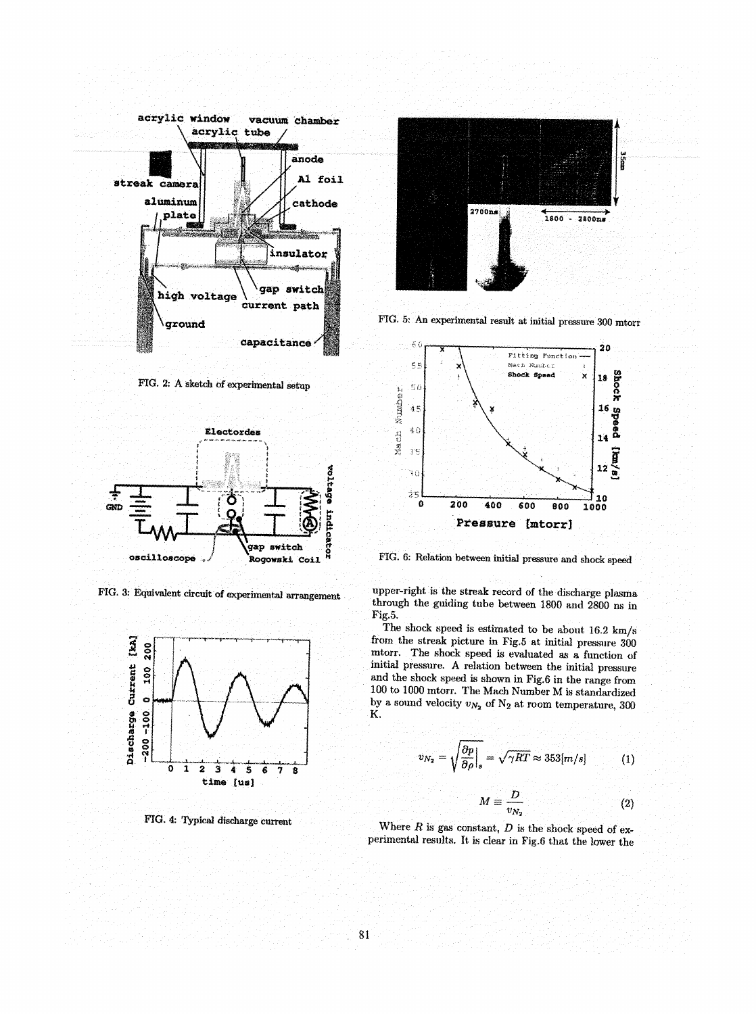

PIG. 2: A sketch of experimental setup



FIG. 3: Equivalent circuit of experimental arrangement



FIG. 4: Typical discharge current



FIG. 5: An experimental result at initial pressure 300 mtorr



FIG. 6: Relation between initial pressure and shock speed

upper-right is the streak record of the discharge plasma through the guiding tube between 1800 and 2800 ns in Fig.5.

The shock speed is estimated to be about 16.2 km/s from the streak picture in Fig,5 at initial pressure 300 mtorr. The shock speed is evaluated as a function of initial pressure. A relation between the initial pressure and the shock speed is shown in Fig.6 in the range from 100 to 1000 mtorr. The Mach Number M is standardized by a sound velocity  $v_{N_2}$  of  $N_2$  at room temperature, 300 K.

$$
v_{N_2} = \sqrt{\frac{\partial p}{\partial \rho}}\Big|_s = \sqrt{\gamma RT} \approx 353 [m/s] \tag{1}
$$

$$
M \equiv \frac{D}{v_{N_2}}\tag{2}
$$

Where *R* is gas constant, *D* is the shock speed of experimental results. It is clear in Fig.6 that the lower the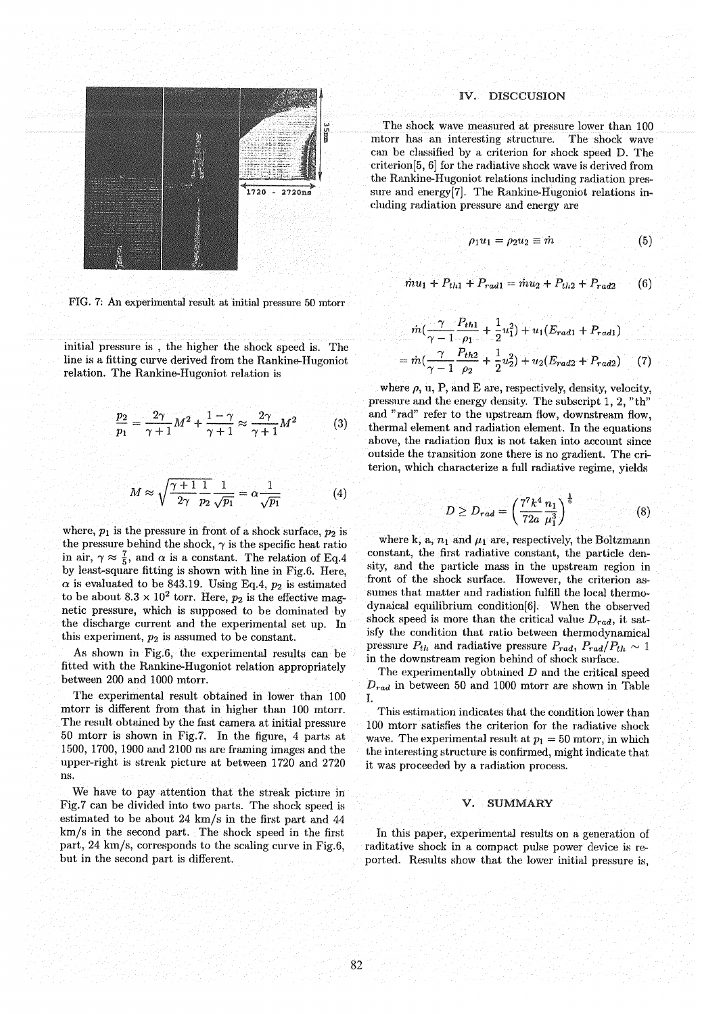

FIG. 7: An experimental result at initial pressure 50 mtorr

initial pressure is , the higher the shock speed is. The line is a fitting curve derived from the Rankine-Hugoniot relation. The Rankine-Hugoniot relation is

$$
\frac{p_2}{p_1} = \frac{2\gamma}{\gamma + 1} M^2 + \frac{1 - \gamma}{\gamma + 1} \approx \frac{2\gamma}{\gamma + 1} M^2 \tag{3}
$$

$$
M \approx \sqrt{\frac{\gamma + 1}{2\gamma} \frac{1}{p_2} \frac{1}{\sqrt{p_1}}} = \alpha \frac{1}{\sqrt{p_1}}
$$
 (4)

where,  $p_1$  is the pressure in front of a shock surface,  $p_2$  is the pressure behind the shock,  $\gamma$  is the specific heat ratio in air,  $\gamma \approx \frac{7}{5}$ , and  $\alpha$  is a constant. The relation of Eq.4 by least-square fitting is shown with line in Fig. 6. Here,  $\alpha$  is evaluated to be 843.19. Using Eq.4,  $p_2$  is estimated to be about  $8.3 \times 10^2$  torr. Here,  $p_2$  is the effective magnetic pressure, which is supposed to be dominated by the discharge current and the experimental set up. In this experiment, *p2* is assumed to be constant.

As shown in Fig.6, the experimental results can be fitted with the Rankine-Hugoniot relation appropriately between 200 and 1000 mtorr.

The experimental result obtained in lower than 100 mtorr is different from that in higher than 100 mtorr. The result obtained by the fast camera at initial pressure 50 mtorr is shown in Fig.7. In the figure, 4 parts at 1500, 1700, 1900 and 2100 ns are framing images and the upper-right is streak picture at between 1720 and 2720 ns.

We have to pay attention that the streak picture in Fig.7 can be divided into two parts. The shock speed is estimated to be about 24 km/s in the first part and 44 km/s in the second part. The shock speed in the first part, 24 km/s, corresponds to the scaling curve in Fig.6, but in the second part is different.

# IV. DISCCUSION

The shock wave measured at pressure lower than 100 mtorr has an interesting structure. The shock wave can be classified by a criterion for shock speed D. The criterion[5, 6] for the radiative shock wave is derived from the Rankine-Hugoniot relations including radiation pressure and energy<sup>[7]</sup>. The Rankine-Hugoniot relations including radiation pressure and energy are

$$
\rho_1 u_1 = \rho_2 u_2 \equiv \dot{m} \tag{5}
$$

$$
\dot{m}u_1 + P_{th1} + P_{rad1} = \dot{m}u_2 + P_{th2} + P_{rad2} \qquad (6)
$$

$$
= \dot{m} \left( \frac{\gamma}{\gamma - 1} \frac{P_{th1}}{\rho_1} + \frac{1}{2} u_1^2 \right) + u_1 (E_{rad1} + P_{rad1})
$$
  
= 
$$
\dot{m} \left( \frac{\gamma}{\gamma - 1} \frac{P_{th2}}{\rho_2} + \frac{1}{2} u_2^2 \right) + u_2 (E_{rad2} + P_{rad2}) \tag{7}
$$

where  $\rho$ ,  $u$ ,  $P$ , and  $E$  are, respectively, density, velocity, pressure and the energy density. The subscript 1,2, "th" and "rad" refer to the upstream flow, downstream flow, thermal element and radiation element. In the equations above, the radiation flux is not taken into account since outside the transition zone there is no gradient. The criterion, which characterize a full radiative regime, yields

$$
D \ge D_{rad} = \left(\frac{7^7 k^4}{72a} \frac{n_1}{\mu_1^3}\right)^{\frac{1}{6}} \tag{8}
$$

where k, a,  $n_1$  and  $\mu_1$  are, respectively, the Boltzmann constant, the first radiative constant, the particle density, and the particle mass in the upstream region in front of the shock surface. However, the criterion assumes that matter and radiation fulfill the local thermodynaical equilibrium condition[6]. When the observed shock speed is more than the critical value  $D_{rad}$ , it satisfy the condition that ratio between thermodynamical pressure  $P_{th}$  and radiative pressure  $P_{rad}$ ,  $P_{rad}/P_{th} \sim 1$ in the downstream region behind of shock surface.

The experimentally obtained *D* and the critical speed *Drad* in between 50 and 1000 mtorr are shown in Table I.

This estimation indicates that the condition lower than 100 mtorr satisfies the criterion for the radiative shock wave. The experimental result at  $p_1 = 50$  mtorr, in which the interesting structure is confirmed, might indicate that it was proceeded by a radiation process.

# V. SUMMARY

In this paper, experimental results on a generation of raditative shock in a compact pulse power device is reported. Results show that the lower initial pressure is,